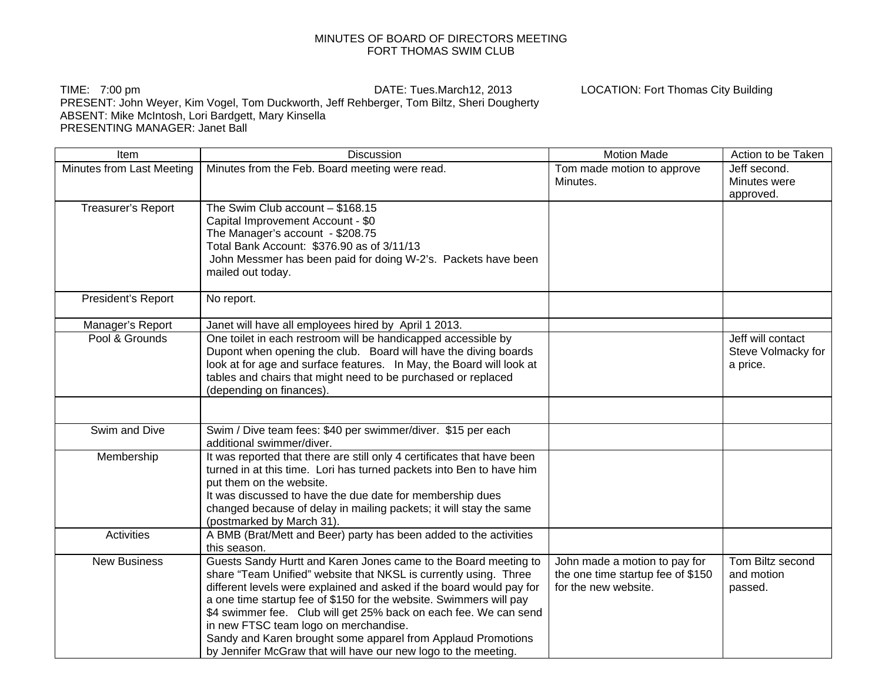## MINUTES OF BOARD OF DIRECTORS MEETING FORT THOMAS SWIM CLUB

## TIME: 7:00 pm DATE: Tues.March12, 2013 LOCATION: Fort Thomas City Building PRESENT: John Weyer, Kim Vogel, Tom Duckworth, Jeff Rehberger, Tom Biltz, Sheri Dougherty ABSENT: Mike McIntosh, Lori Bardgett, Mary Kinsella PRESENTING MANAGER: Janet Ball

| Item                      | <b>Discussion</b>                                                                                                                                                                                                                                                                                                                                                                                                                                                                                                                | <b>Motion Made</b>                                                                         | Action to be Taken                                  |
|---------------------------|----------------------------------------------------------------------------------------------------------------------------------------------------------------------------------------------------------------------------------------------------------------------------------------------------------------------------------------------------------------------------------------------------------------------------------------------------------------------------------------------------------------------------------|--------------------------------------------------------------------------------------------|-----------------------------------------------------|
| Minutes from Last Meeting | Minutes from the Feb. Board meeting were read.                                                                                                                                                                                                                                                                                                                                                                                                                                                                                   | Tom made motion to approve<br>Minutes.                                                     | Jeff second.<br>Minutes were<br>approved.           |
| Treasurer's Report        | The Swim Club account $-$ \$168.15<br>Capital Improvement Account - \$0<br>The Manager's account - \$208.75<br>Total Bank Account: \$376.90 as of 3/11/13<br>John Messmer has been paid for doing W-2's. Packets have been<br>mailed out today.                                                                                                                                                                                                                                                                                  |                                                                                            |                                                     |
| President's Report        | No report.                                                                                                                                                                                                                                                                                                                                                                                                                                                                                                                       |                                                                                            |                                                     |
| Manager's Report          | Janet will have all employees hired by April 1 2013.                                                                                                                                                                                                                                                                                                                                                                                                                                                                             |                                                                                            |                                                     |
| Pool & Grounds            | One toilet in each restroom will be handicapped accessible by<br>Dupont when opening the club. Board will have the diving boards<br>look at for age and surface features.  In May, the Board will look at<br>tables and chairs that might need to be purchased or replaced<br>(depending on finances).                                                                                                                                                                                                                           |                                                                                            | Jeff will contact<br>Steve Volmacky for<br>a price. |
|                           |                                                                                                                                                                                                                                                                                                                                                                                                                                                                                                                                  |                                                                                            |                                                     |
| Swim and Dive             | Swim / Dive team fees: \$40 per swimmer/diver. \$15 per each<br>additional swimmer/diver.                                                                                                                                                                                                                                                                                                                                                                                                                                        |                                                                                            |                                                     |
| Membership                | It was reported that there are still only 4 certificates that have been<br>turned in at this time. Lori has turned packets into Ben to have him<br>put them on the website.<br>It was discussed to have the due date for membership dues<br>changed because of delay in mailing packets; it will stay the same<br>(postmarked by March 31).                                                                                                                                                                                      |                                                                                            |                                                     |
| <b>Activities</b>         | A BMB (Brat/Mett and Beer) party has been added to the activities<br>this season.                                                                                                                                                                                                                                                                                                                                                                                                                                                |                                                                                            |                                                     |
| <b>New Business</b>       | Guests Sandy Hurtt and Karen Jones came to the Board meeting to<br>share "Team Unified" website that NKSL is currently using. Three<br>different levels were explained and asked if the board would pay for<br>a one time startup fee of \$150 for the website. Swimmers will pay<br>\$4 swimmer fee. Club will get 25% back on each fee. We can send<br>in new FTSC team logo on merchandise.<br>Sandy and Karen brought some apparel from Applaud Promotions<br>by Jennifer McGraw that will have our new logo to the meeting. | John made a motion to pay for<br>the one time startup fee of \$150<br>for the new website. | Tom Biltz second<br>and motion<br>passed.           |